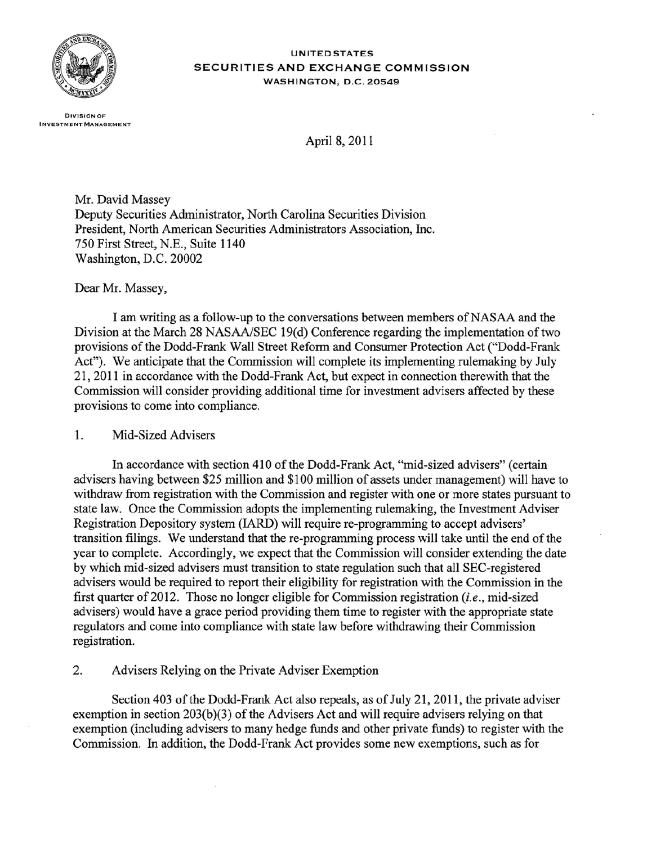

UNITED STATES SECURITIES AND EXCHANGE COMMISSION WASHINGTON, D.C. 20549

DIVISION OF INVESTMENT MANAGEMENT

April 8, 2011

Mr. David Massey Deputy Securities Administrator, North Carolina Securities Division President, North American Securities Administrators Association, Inc. 750 First Street, N.B., Suite 1140 Washington, D.C. 20002

Dear Mr. Massey,

I am writing as a follow-up to the conversations between members of NASAA and the Division at the March 28 NASAA/SEC 19(d) Conference regarding the implementation of two provisions of the Dodd-Frank Wall Street Reform and Consumer Protection Act ("Dodd-Frank Act"). We anticipate that the Commission will complete its implementing rulemaking by July 21,2011 in accordance with the Dodd-Frank Act, but expect in connection therewith that the Commission will consider providing additional time for investment advisers affected by these provisions to come into compliance.

## 1. Mid-Sized Advisers

In accordance with section 410 of the Dodd-Frank Act, "mid-sized advisers" (certain advisers having between \$25 million and \$100 million of assets under management) will have to withdraw from registration with the Commission and register with one or more states pursuant to state law. Once the Commission adopts the implementing rulemaking, the Investment Adviser Registration Depository system (lARD) will require re-programming to accept advisers' transition filings. We understand that the re-programming process will take until the end of the year to complete. Accordingly, we expect that the Commission will consider extending the date by which mid-sized advisers must transition to state regulation such that all SEC-registered advisers would be required to report their eligibility for registration with the Commission in the first quarter of2012. Those no longer eligible for Commission registration *(i.e.,* mid-sized advisers) would have a grace period providing them time to register with the appropriate state regulators and come into compliance with state law before withdrawing their Commission registration.

2. Advisers Relying on the Private Adviser Exemption

Section 403 of the Dodd-Frank Act also repeals, as of July 21, 2011, the private adviser exemption in section 203(b)(3) of the Advisers Act and will require advisers relying on that exemption (including advisers to many hedge funds and other private funds) to register with the Commission. In addition, the Dodd-Frank Act provides some new exemptions, such as for